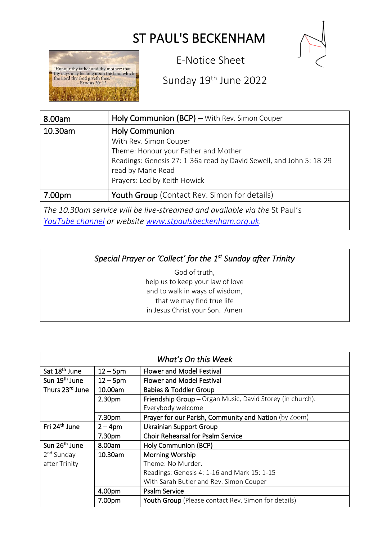# ST PAUL'S BECKENHAM



"Honour thy father and thy mother: that<br>a thy days may be long upon the land which the Lord thy God giveth thee."<br>Exodus 20: 12

E-Notice Sheet

## Sunday 19<sup>th</sup> June 2022

| 8.00am                                                                    | Holy Communion (BCP) – With Rev. Simon Couper                                                                                                                                                                        |  |
|---------------------------------------------------------------------------|----------------------------------------------------------------------------------------------------------------------------------------------------------------------------------------------------------------------|--|
| 10.30am                                                                   | <b>Holy Communion</b><br>With Rev. Simon Couper<br>Theme: Honour your Father and Mother<br>Readings: Genesis 27: 1-36a read by David Sewell, and John 5: 18-29<br>read by Marie Read<br>Prayers: Led by Keith Howick |  |
| 7.00pm                                                                    | <b>Youth Group</b> (Contact Rev. Simon for details)                                                                                                                                                                  |  |
| The 10.30am service will be live-streamed and available via the St Paul's |                                                                                                                                                                                                                      |  |

*YouTube channel or website [www.stpaulsbeckenham.org.uk.](http://www.stpaulsbeckenham.org.uk/)* 

### *Special Prayer or 'Collect' for the 1st Sunday after Trinity*

God of truth, help us to keep your law of love and to walk in ways of wisdom, that we may find true life in Jesus Christ your Son. Amen

| What's On this Week       |                    |                                                           |  |
|---------------------------|--------------------|-----------------------------------------------------------|--|
| Sat 18 <sup>th</sup> June | $12 - 5$ pm        | <b>Flower and Model Festival</b>                          |  |
| Sun 19 <sup>th</sup> June | $12 - 5$ pm        | <b>Flower and Model Festival</b>                          |  |
| Thurs 23rd June           | 10.00am            | <b>Babies &amp; Toddler Group</b>                         |  |
|                           | 2.30 <sub>pm</sub> | Friendship Group - Organ Music, David Storey (in church). |  |
|                           |                    | Everybody welcome                                         |  |
|                           | 7.30pm             | Prayer for our Parish, Community and Nation (by Zoom)     |  |
| Fri 24 <sup>th</sup> June | $2 - 4pm$          | <b>Ukrainian Support Group</b>                            |  |
|                           | 7.30pm             | <b>Choir Rehearsal for Psalm Service</b>                  |  |
| Sun 26 <sup>th</sup> June | 8.00am             | Holy Communion (BCP)                                      |  |
| 2 <sup>nd</sup> Sunday    | 10.30am            | <b>Morning Worship</b>                                    |  |
| after Trinity             |                    | Theme: No Murder.                                         |  |
|                           |                    | Readings: Genesis 4: 1-16 and Mark 15: 1-15               |  |
|                           |                    | With Sarah Butler and Rev. Simon Couper                   |  |
|                           | 4.00pm             | <b>Psalm Service</b>                                      |  |
|                           | 7.00pm             | Youth Group (Please contact Rev. Simon for details)       |  |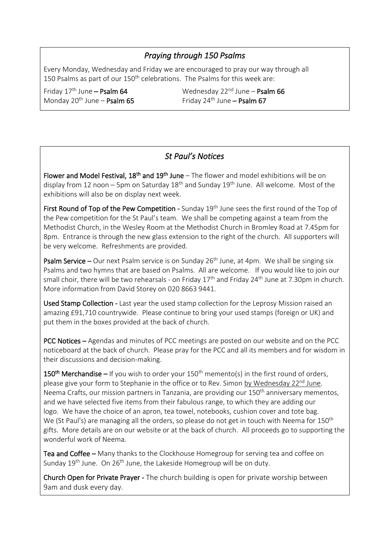#### *Praying through 150 Psalms*

Every Monday, Wednesday and Friday we are encouraged to pray our way through all 150 Psalms as part of our 150<sup>th</sup> celebrations. The Psalms for this week are:

Friday 17<sup>th</sup> June - Psalm 64 Monday 20<sup>th</sup> June – **Psalm 65** Friday 24<sup>th</sup> June – **Psalm 67**  $\overline{a}$ 

Wednesday 22 $^{nd}$  June – Psalm 66

#### *St Paul's Notices*

Flower and Model Festival,  $18<sup>th</sup>$  and  $19<sup>th</sup>$  June – The flower and model exhibitions will be on display from 12 noon – 5pm on Saturday  $18<sup>th</sup>$  and Sunday  $19<sup>th</sup>$  June. All welcome. Most of the exhibitions will also be on display next week.

First Round of Top of the Pew Competition - Sunday 19<sup>th</sup> June sees the first round of the Top of the Pew competition for the St Paul's team. We shall be competing against a team from the Methodist Church, in the Wesley Room at the Methodist Church in Bromley Road at 7.45pm for 8pm. Entrance is through the new glass extension to the right of the church. All supporters will be very welcome. Refreshments are provided.

**Psalm Service –** Our next Psalm service is on Sunday 26<sup>th</sup> June, at 4pm. We shall be singing six Psalms and two hymns that are based on Psalms. All are welcome. If you would like to join our small choir, there will be two rehearsals - on Friday  $17<sup>th</sup>$  and Friday  $24<sup>th</sup>$  June at 7.30pm in church. More information from David Storey on 020 8663 9441.

Used Stamp Collection - Last year the used stamp collection for the Leprosy Mission raised an amazing £91,710 countrywide. Please continue to bring your used stamps (foreign or UK) and put them in the boxes provided at the back of church.

PCC Notices – Agendas and minutes of PCC meetings are posted on our website and on the PCC noticeboard at the back of church. Please pray for the PCC and all its members and for wisdom in their discussions and decision-making.

150<sup>th</sup> Merchandise – If you wish to order your  $150<sup>th</sup>$  memento(s) in the first round of orders, please give your form to Stephanie in the office or to Rev. Simon by Wednesday  $22<sup>nd</sup>$  June. Neema Crafts, our mission partners in Tanzania, are providing our 150<sup>th</sup> anniversary mementos, and we have selected five items from their fabulous range, to which they are adding our logo. We have the choice of an apron, tea towel, notebooks, cushion cover and tote bag. We (St Paul's) are managing all the orders, so please do not get in touch with Neema for  $150<sup>th</sup>$ gifts. More details are on our website or at the back of church. All proceeds go to supporting the wonderful work of Neema.

Tea and Coffee – Many thanks to the Clockhouse Homegroup for serving tea and coffee on Sunday 19<sup>th</sup> June. On 26<sup>th</sup> June, the Lakeside Homegroup will be on duty.

Church Open for Private Prayer - The church building is open for private worship between 9am and dusk every day.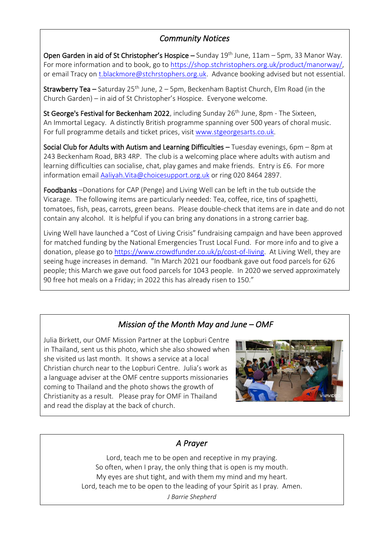#### *Community Notices*

Open Garden in aid of St Christopher's Hospice – Sunday  $19<sup>th</sup>$  June,  $11am - 5pm$ , 33 Manor Way. For more information and to book, go to [https://shop.stchristophers.org.uk/product/manorway/,](https://shop.stchristophers.org.uk/product/manorway/) or email Tracy on [t.blackmore@stchrstophers.org.uk.](mailto:t.blackmore@stchrstophers.org.uk) Advance booking advised but not essential.

**Strawberry Tea –** Saturday 25<sup>th</sup> June, 2 – 5pm, Beckenham Baptist Church, Elm Road (in the Church Garden) – in aid of St Christopher's Hospice. Everyone welcome.

St George's Festival for Beckenham 2022, including Sunday  $26<sup>th</sup>$  June, 8pm - The Sixteen, An Immortal Legacy. A distinctly British programme spanning over 500 years of choral music. For full programme details and ticket prices, visit [www.stgeorgesarts.co.uk.](http://www.stgeorgesarts.co.uk/)

Social Club for Adults with Autism and Learning Difficulties  $-$  Tuesday evenings, 6pm  $-$  8pm at 243 Beckenham Road, BR3 4RP. The club is a welcoming place where adults with autism and learning difficulties can socialise, chat, play games and make friends. Entry is £6. For more information emai[l Aaliyah.Vita@choicesupport.org.uk](mailto:Aaliyah.Vita@choicesupport.org.uk) or ring 020 8464 2897.

Foodbanks –Donations for CAP (Penge) and Living Well can be left in the tub outside the Vicarage. The following items are particularly needed: Tea, coffee, rice, tins of spaghetti, tomatoes, fish, peas, carrots, green beans. Please double-check that items are in date and do not contain any alcohol. It is helpful if you can bring any donations in a strong carrier bag.

Living Well have launched a "Cost of Living Crisis" fundraising campaign and have been approved for matched funding by the National Emergencies Trust Local Fund. For more info and to give a donation, please go to [https://www.crowdfunder.co.uk/p/cost-of-living.](https://www.crowdfunder.co.uk/p/cost-of-living) At Living Well, they are seeing huge increases in demand. "In March 2021 our foodbank gave out food parcels for 626 people; this March we gave out food parcels for 1043 people. In 2020 we served approximately 90 free hot meals on a Friday; in 2022 this has already risen to 150."

#### *Mission of the Month May and June – OMF*

Julia Birkett, our OMF Mission Partner at the Lopburi Centre in Thailand, sent us this photo, which she also showed when she visited us last month. It shows a service at a local Christian church near to the Lopburi Centre. Julia's work as a language adviser at the OMF centre supports missionaries coming to Thailand and the photo shows the growth of Christianity as a result. Please pray for OMF in Thailand and read the display at the back of church.



#### *A Prayer*

Lord, teach me to be open and receptive in my praying. So often, when I pray, the only thing that is open is my mouth. My eyes are shut tight, and with them my mind and my heart. Lord, teach me to be open to the leading of your Spirit as I pray. Amen. *J Barrie Shepherd*